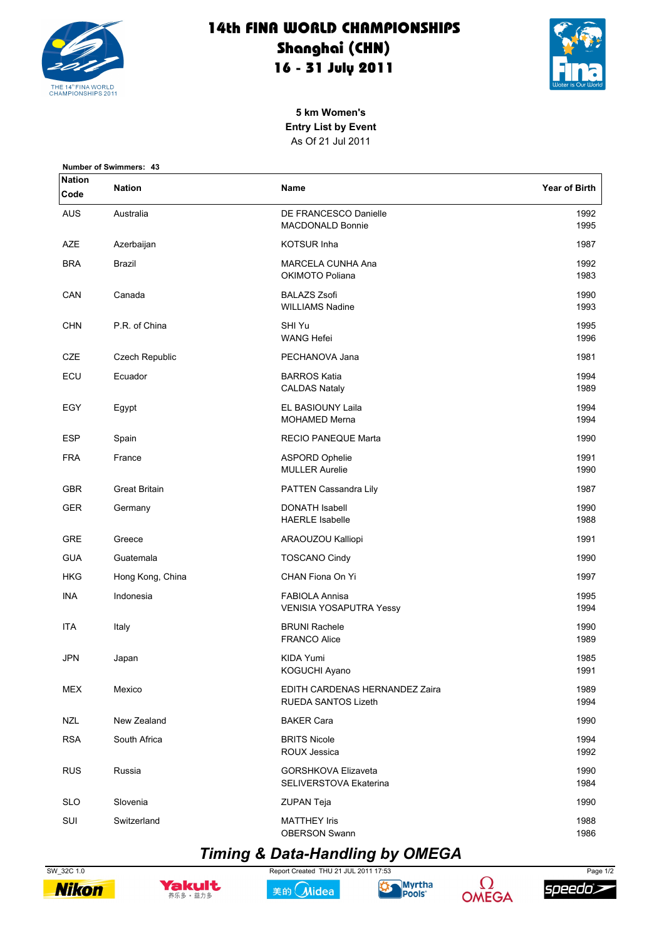

## 14th FINA WORLD CHAMPIONSHIPS Shanghai (CHN) 16 - 31 July 2011



5 km Women's **Entry List by Event** As Of 21 Jul 2011

| <b>Number of Swimmers: 43</b> |                      |                                                         |                      |  |  |
|-------------------------------|----------------------|---------------------------------------------------------|----------------------|--|--|
| <b>Nation</b><br>Code         | <b>Nation</b>        | Name                                                    | <b>Year of Birth</b> |  |  |
| <b>AUS</b>                    | Australia            | DE FRANCESCO Danielle<br><b>MACDONALD Bonnie</b>        | 1992<br>1995         |  |  |
| <b>AZE</b>                    | Azerbaijan           | <b>KOTSUR Inha</b>                                      | 1987                 |  |  |
| <b>BRA</b>                    | Brazil               | MARCELA CUNHA Ana<br>OKIMOTO Poliana                    | 1992<br>1983         |  |  |
| CAN                           | Canada               | <b>BALAZS Zsofi</b><br><b>WILLIAMS Nadine</b>           | 1990<br>1993         |  |  |
| <b>CHN</b>                    | P.R. of China        | SHI Yu<br><b>WANG Hefei</b>                             | 1995<br>1996         |  |  |
| CZE                           | Czech Republic       | PECHANOVA Jana                                          | 1981                 |  |  |
| ECU                           | Ecuador              | <b>BARROS Katia</b><br><b>CALDAS Nataly</b>             | 1994<br>1989         |  |  |
| EGY                           | Egypt                | EL BASIOUNY Laila<br><b>MOHAMED Merna</b>               | 1994<br>1994         |  |  |
| <b>ESP</b>                    | Spain                | RECIO PANEQUE Marta                                     | 1990                 |  |  |
| <b>FRA</b>                    | France               | <b>ASPORD Ophelie</b><br><b>MULLER Aurelie</b>          | 1991<br>1990         |  |  |
| <b>GBR</b>                    | <b>Great Britain</b> | PATTEN Cassandra Lily                                   | 1987                 |  |  |
| <b>GER</b>                    | Germany              | DONATH Isabell<br><b>HAERLE Isabelle</b>                | 1990<br>1988         |  |  |
| GRE                           | Greece               | ARAOUZOU Kalliopi                                       | 1991                 |  |  |
| <b>GUA</b>                    | Guatemala            | <b>TOSCANO Cindy</b>                                    | 1990                 |  |  |
| <b>HKG</b>                    | Hong Kong, China     | CHAN Fiona On Yi                                        | 1997                 |  |  |
| <b>INA</b>                    | Indonesia            | <b>FABIOLA Annisa</b><br><b>VENISIA YOSAPUTRA Yessy</b> | 1995<br>1994         |  |  |
| ITA                           | Italy                | <b>BRUNI Rachele</b><br><b>FRANCO Alice</b>             | 1990<br>1989         |  |  |
| <b>JPN</b>                    | Japan                | <b>KIDA Yumi</b><br>KOGUCHI Ayano                       | 1985<br>1991         |  |  |
| <b>MEX</b>                    | Mexico               | EDITH CARDENAS HERNANDEZ Zaira<br>RUEDA SANTOS Lizeth   | 1989<br>1994         |  |  |
| <b>NZL</b>                    | New Zealand          | <b>BAKER Cara</b>                                       | 1990                 |  |  |
| <b>RSA</b>                    | South Africa         | <b>BRITS Nicole</b><br>ROUX Jessica                     | 1994<br>1992         |  |  |
| <b>RUS</b>                    | Russia               | <b>GORSHKOVA Elizaveta</b><br>SELIVERSTOVA Ekaterina    | 1990<br>1984         |  |  |
| <b>SLO</b>                    | Slovenia             | ZUPAN Teja                                              | 1990                 |  |  |
| <b>SUI</b>                    | Switzerland          | <b>MATTHEY Iris</b><br><b>OBERSON Swann</b>             | 1988<br>1986         |  |  |

## **Timing & Data-Handling by OMEGA**